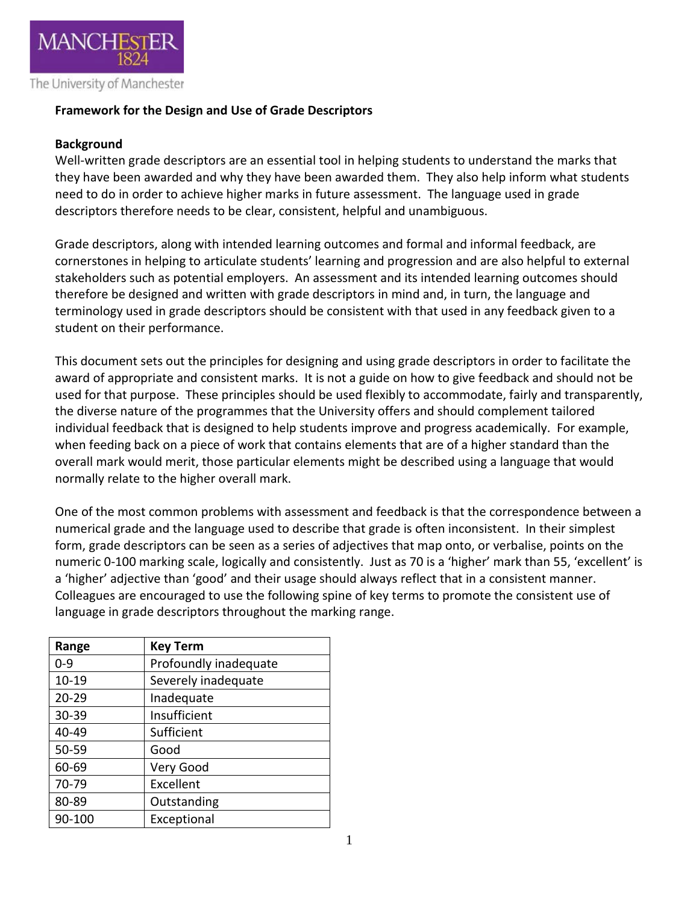

## **Framework for the Design and Use of Grade Descriptors**

### **Background**

Well-written grade descriptors are an essential tool in helping students to understand the marks that they have been awarded and why they have been awarded them. They also help inform what students need to do in order to achieve higher marks in future assessment. The language used in grade descriptors therefore needs to be clear, consistent, helpful and unambiguous.

Grade descriptors, along with intended learning outcomes and formal and informal feedback, are cornerstones in helping to articulate students' learning and progression and are also helpful to external stakeholders such as potential employers. An assessment and its intended learning outcomes should therefore be designed and written with grade descriptors in mind and, in turn, the language and terminology used in grade descriptors should be consistent with that used in any feedback given to a student on their performance.

This document sets out the principles for designing and using grade descriptors in order to facilitate the award of appropriate and consistent marks. It is not a guide on how to give feedback and should not be used for that purpose. These principles should be used flexibly to accommodate, fairly and transparently, the diverse nature of the programmes that the University offers and should complement tailored individual feedback that is designed to help students improve and progress academically. For example, when feeding back on a piece of work that contains elements that are of a higher standard than the overall mark would merit, those particular elements might be described using a language that would normally relate to the higher overall mark.

One of the most common problems with assessment and feedback is that the correspondence between a numerical grade and the language used to describe that grade is often inconsistent. In their simplest form, grade descriptors can be seen as a series of adjectives that map onto, or verbalise, points on the numeric 0-100 marking scale, logically and consistently. Just as 70 is a 'higher' mark than 55, 'excellent' is a 'higher' adjective than 'good' and their usage should always reflect that in a consistent manner. Colleagues are encouraged to use the following spine of key terms to promote the consistent use of language in grade descriptors throughout the marking range.

| Range     | <b>Key Term</b>       |  |
|-----------|-----------------------|--|
| $0 - 9$   | Profoundly inadequate |  |
| $10 - 19$ | Severely inadequate   |  |
| $20 - 29$ | Inadequate            |  |
| 30-39     | Insufficient          |  |
| 40-49     | Sufficient            |  |
| 50-59     | Good                  |  |
| 60-69     | Very Good             |  |
| 70-79     | Excellent             |  |
| 80-89     | Outstanding           |  |
| 90-100    | Exceptional           |  |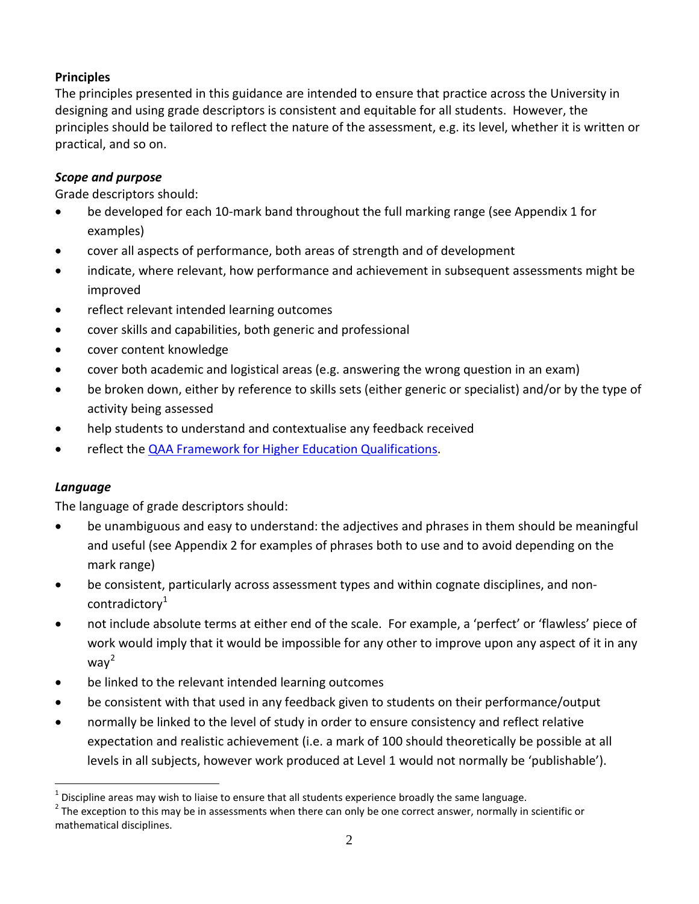## **Principles**

The principles presented in this guidance are intended to ensure that practice across the University in designing and using grade descriptors is consistent and equitable for all students. However, the principles should be tailored to reflect the nature of the assessment, e.g. its level, whether it is written or practical, and so on.

## *Scope and purpose*

Grade descriptors should:

- be developed for each 10-mark band throughout the full marking range (see Appendix 1 for examples)
- cover all aspects of performance, both areas of strength and of development
- indicate, where relevant, how performance and achievement in subsequent assessments might be improved
- reflect relevant intended learning outcomes
- cover skills and capabilities, both generic and professional
- cover content knowledge
- cover both academic and logistical areas (e.g. answering the wrong question in an exam)
- be broken down, either by reference to skills sets (either generic or specialist) and/or by the type of activity being assessed
- help students to understand and contextualise any feedback received
- reflect the **QAA Framework for Higher Education Qualifications.**

## *Language*

<u>.</u>

The language of grade descriptors should:

- be unambiguous and easy to understand: the adjectives and phrases in them should be meaningful and useful (see Appendix 2 for examples of phrases both to use and to avoid depending on the mark range)
- be consistent, particularly across assessment types and within cognate disciplines, and non-contradictory<sup>[1](#page-1-0)</sup>
- not include absolute terms at either end of the scale. For example, a 'perfect' or 'flawless' piece of work would imply that it would be impossible for any other to improve upon any aspect of it in any wa $v^2$  $v^2$
- be linked to the relevant intended learning outcomes
- be consistent with that used in any feedback given to students on their performance/output
- normally be linked to the level of study in order to ensure consistency and reflect relative expectation and realistic achievement (i.e. a mark of 100 should theoretically be possible at all levels in all subjects, however work produced at Level 1 would not normally be 'publishable').

<span id="page-1-1"></span>

<span id="page-1-0"></span><sup>&</sup>lt;sup>1</sup> Discipline areas may wish to liaise to ensure that all students experience broadly the same language.<br><sup>2</sup> The exception to this may be in assessments when there can only be one correct answer, normally in scientific o mathematical disciplines.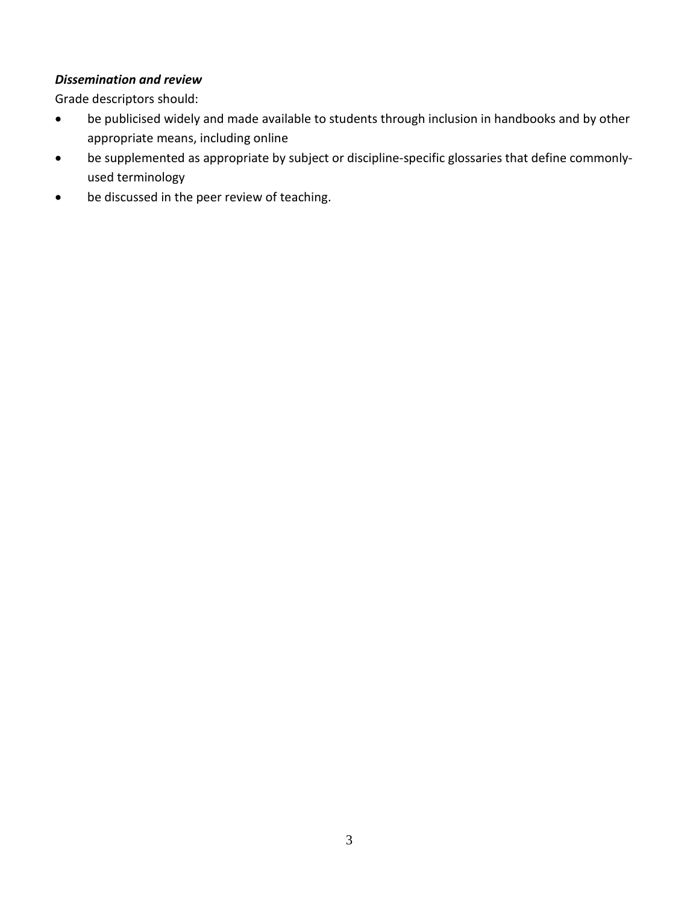## *Dissemination and review*

Grade descriptors should:

- be publicised widely and made available to students through inclusion in handbooks and by other appropriate means, including online
- be supplemented as appropriate by subject or discipline-specific glossaries that define commonlyused terminology
- be discussed in the peer review of teaching.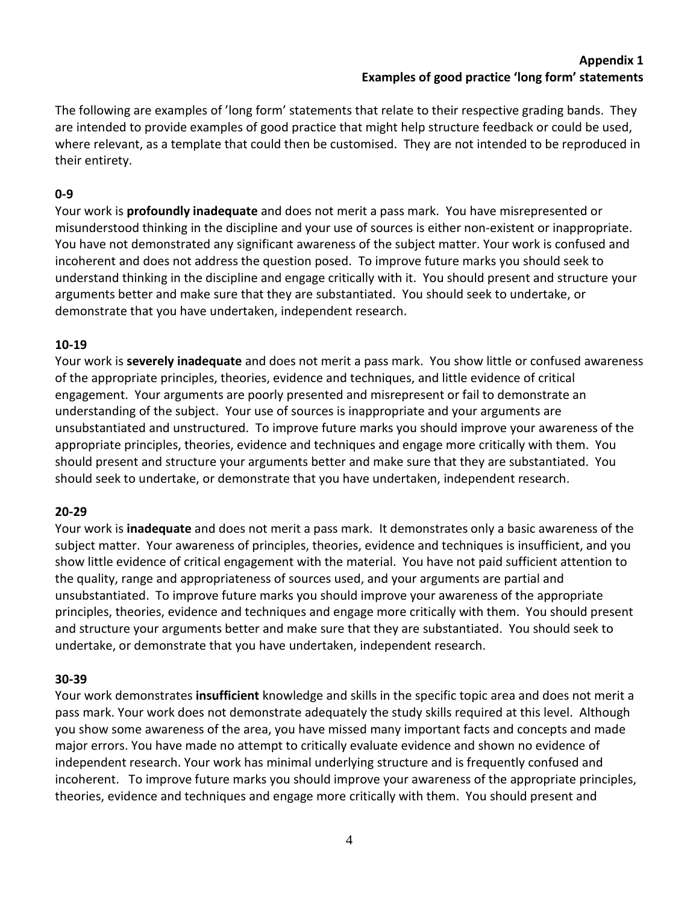#### **Appendix 1 Examples of good practice 'long form' statements**

The following are examples of 'long form' statements that relate to their respective grading bands. They are intended to provide examples of good practice that might help structure feedback or could be used, where relevant, as a template that could then be customised. They are not intended to be reproduced in their entirety.

## **0-9**

Your work is **profoundly inadequate** and does not merit a pass mark. You have misrepresented or misunderstood thinking in the discipline and your use of sources is either non-existent or inappropriate. You have not demonstrated any significant awareness of the subject matter. Your work is confused and incoherent and does not address the question posed. To improve future marks you should seek to understand thinking in the discipline and engage critically with it. You should present and structure your arguments better and make sure that they are substantiated. You should seek to undertake, or demonstrate that you have undertaken, independent research.

## **10-19**

Your work is **severely inadequate** and does not merit a pass mark. You show little or confused awareness of the appropriate principles, theories, evidence and techniques, and little evidence of critical engagement. Your arguments are poorly presented and misrepresent or fail to demonstrate an understanding of the subject. Your use of sources is inappropriate and your arguments are unsubstantiated and unstructured. To improve future marks you should improve your awareness of the appropriate principles, theories, evidence and techniques and engage more critically with them. You should present and structure your arguments better and make sure that they are substantiated. You should seek to undertake, or demonstrate that you have undertaken, independent research.

## **20-29**

Your work is **inadequate** and does not merit a pass mark. It demonstrates only a basic awareness of the subject matter. Your awareness of principles, theories, evidence and techniques is insufficient, and you show little evidence of critical engagement with the material. You have not paid sufficient attention to the quality, range and appropriateness of sources used, and your arguments are partial and unsubstantiated. To improve future marks you should improve your awareness of the appropriate principles, theories, evidence and techniques and engage more critically with them. You should present and structure your arguments better and make sure that they are substantiated. You should seek to undertake, or demonstrate that you have undertaken, independent research.

## **30-39**

Your work demonstrates **insufficient** knowledge and skills in the specific topic area and does not merit a pass mark. Your work does not demonstrate adequately the study skills required at this level. Although you show some awareness of the area, you have missed many important facts and concepts and made major errors. You have made no attempt to critically evaluate evidence and shown no evidence of independent research. Your work has minimal underlying structure and is frequently confused and incoherent. To improve future marks you should improve your awareness of the appropriate principles, theories, evidence and techniques and engage more critically with them. You should present and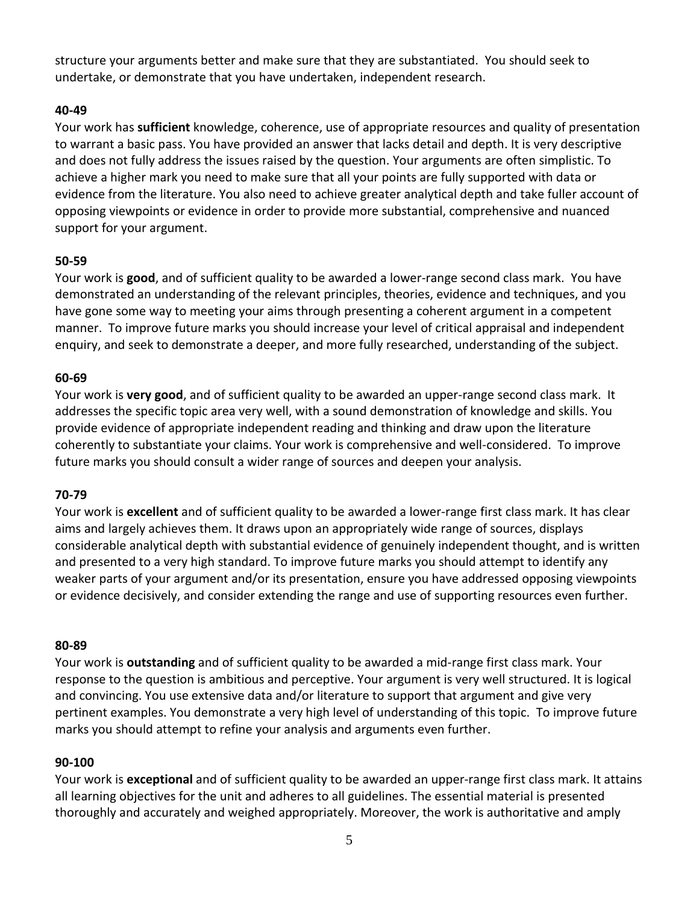structure your arguments better and make sure that they are substantiated. You should seek to undertake, or demonstrate that you have undertaken, independent research.

## **40-49**

Your work has **sufficient** knowledge, coherence, use of appropriate resources and quality of presentation to warrant a basic pass. You have provided an answer that lacks detail and depth. It is very descriptive and does not fully address the issues raised by the question. Your arguments are often simplistic. To achieve a higher mark you need to make sure that all your points are fully supported with data or evidence from the literature. You also need to achieve greater analytical depth and take fuller account of opposing viewpoints or evidence in order to provide more substantial, comprehensive and nuanced support for your argument.

## **50-59**

Your work is **good**, and of sufficient quality to be awarded a lower-range second class mark. You have demonstrated an understanding of the relevant principles, theories, evidence and techniques, and you have gone some way to meeting your aims through presenting a coherent argument in a competent manner. To improve future marks you should increase your level of critical appraisal and independent enquiry, and seek to demonstrate a deeper, and more fully researched, understanding of the subject.

### **60-69**

Your work is **very good**, and of sufficient quality to be awarded an upper-range second class mark. It addresses the specific topic area very well, with a sound demonstration of knowledge and skills. You provide evidence of appropriate independent reading and thinking and draw upon the literature coherently to substantiate your claims. Your work is comprehensive and well-considered. To improve future marks you should consult a wider range of sources and deepen your analysis.

## **70-79**

Your work is **excellent** and of sufficient quality to be awarded a lower-range first class mark. It has clear aims and largely achieves them. It draws upon an appropriately wide range of sources, displays considerable analytical depth with substantial evidence of genuinely independent thought, and is written and presented to a very high standard. To improve future marks you should attempt to identify any weaker parts of your argument and/or its presentation, ensure you have addressed opposing viewpoints or evidence decisively, and consider extending the range and use of supporting resources even further.

#### **80-89**

Your work is **outstanding** and of sufficient quality to be awarded a mid-range first class mark. Your response to the question is ambitious and perceptive. Your argument is very well structured. It is logical and convincing. You use extensive data and/or literature to support that argument and give very pertinent examples. You demonstrate a very high level of understanding of this topic. To improve future marks you should attempt to refine your analysis and arguments even further.

#### **90-100**

Your work is **exceptional** and of sufficient quality to be awarded an upper-range first class mark. It attains all learning objectives for the unit and adheres to all guidelines. The essential material is presented thoroughly and accurately and weighed appropriately. Moreover, the work is authoritative and amply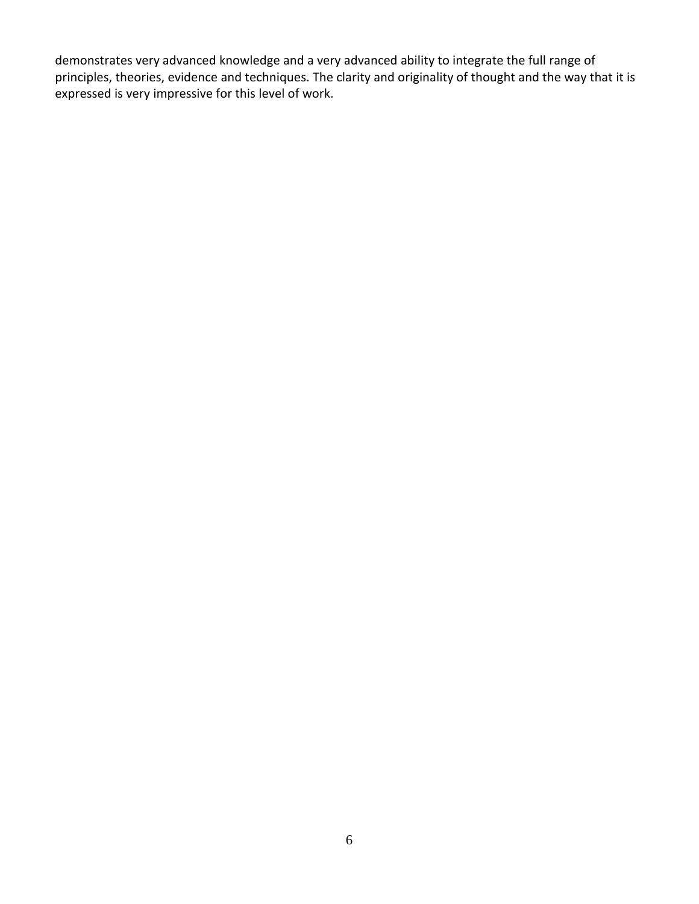demonstrates very advanced knowledge and a very advanced ability to integrate the full range of principles, theories, evidence and techniques. The clarity and originality of thought and the way that it is expressed is very impressive for this level of work.